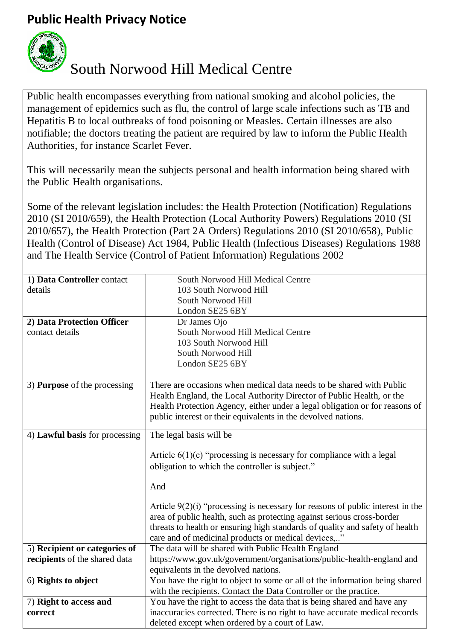## **Public Health Privacy Notice**



## South Norwood Hill Medical Centre

Public health encompasses everything from national smoking and alcohol policies, the management of epidemics such as flu, the control of large scale infections such as TB and Hepatitis B to local outbreaks of food poisoning or Measles. Certain illnesses are also notifiable; the doctors treating the patient are required by law to inform the Public Health Authorities, for instance Scarlet Fever.

This will necessarily mean the subjects personal and health information being shared with the Public Health organisations.

Some of the relevant legislation includes: the Health Protection [\(Notification\)](http://www.legislation.gov.uk/uksi/2010/659/contents/made) Regulations 2010 (SI [2010/659\),](http://www.legislation.gov.uk/uksi/2010/659/contents/made) the Health Protection (Local Authority Powers) [Regulations](http://www.legislation.gov.uk/uksi/2010/657/contents/made) 2010 (SI [2010/657\),](http://www.legislation.gov.uk/uksi/2010/657/contents/made) the Health Protection (Part 2A Orders) [Regulations](http://www.legislation.gov.uk/uksi/2010/658/contents/made) 2010 (SI 2010/658), [Public](https://www.legislation.gov.uk/ukpga/1984/22) Health (Control of [Disease\)](https://www.legislation.gov.uk/ukpga/1984/22) Act 1984, Public Health (Infectious Diseases) [Regulations](http://www.legislation.gov.uk/uksi/1988/1546/contents/made) 1988 and [The Health Service \(Control of Patient Information\) Regulations 2002](http://www.legislation.gov.uk/uksi/2002/1438/regulation/3/made)

| 1) Data Controller contact          | South Norwood Hill Medical Centre                                                |
|-------------------------------------|----------------------------------------------------------------------------------|
| details                             | 103 South Norwood Hill                                                           |
|                                     | South Norwood Hill                                                               |
|                                     | London SE25 6BY                                                                  |
| 2) Data Protection Officer          | Dr James Ojo                                                                     |
| contact details                     | South Norwood Hill Medical Centre                                                |
|                                     | 103 South Norwood Hill                                                           |
|                                     | South Norwood Hill                                                               |
|                                     | London SE25 6BY                                                                  |
|                                     |                                                                                  |
| 3) <b>Purpose</b> of the processing | There are occasions when medical data needs to be shared with Public             |
|                                     | Health England, the Local Authority Director of Public Health, or the            |
|                                     | Health Protection Agency, either under a legal obligation or for reasons of      |
|                                     | public interest or their equivalents in the devolved nations.                    |
| 4) Lawful basis for processing      | The legal basis will be                                                          |
|                                     |                                                                                  |
|                                     | Article $6(1)(c)$ "processing is necessary for compliance with a legal           |
|                                     | obligation to which the controller is subject."                                  |
|                                     |                                                                                  |
|                                     | And                                                                              |
|                                     |                                                                                  |
|                                     | Article $9(2)(i)$ "processing is necessary for reasons of public interest in the |
|                                     | area of public health, such as protecting against serious cross-border           |
|                                     | threats to health or ensuring high standards of quality and safety of health     |
|                                     | care and of medicinal products or medical devices,"                              |
| 5) Recipient or categories of       | The data will be shared with Public Health England                               |
| recipients of the shared data       | https://www.gov.uk/government/organisations/public-health-england and            |
|                                     | equivalents in the devolved nations.                                             |
| 6) Rights to object                 | You have the right to object to some or all of the information being shared      |
|                                     | with the recipients. Contact the Data Controller or the practice.                |
| 7) Right to access and              | You have the right to access the data that is being shared and have any          |
| correct                             | inaccuracies corrected. There is no right to have accurate medical records       |
|                                     | deleted except when ordered by a court of Law.                                   |